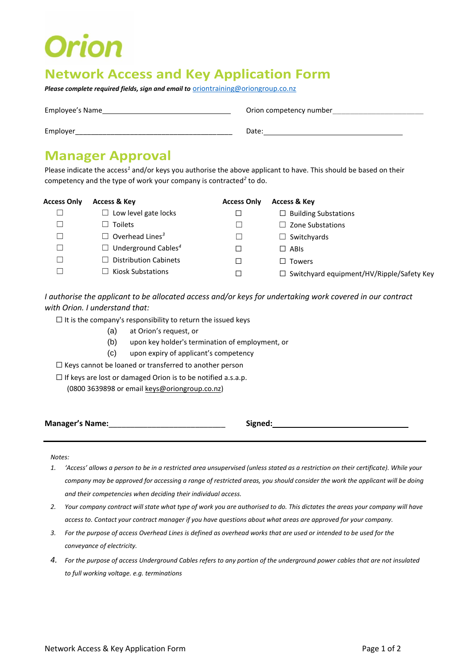# **Orion**

### **Network Access and Key Application Form**

*Please complete required fields, sign and email to* **[oriontraining@oriongroup.co.nz](mailto:oriontraining@oriongroup.co.nz)** 

Employee's Name Orion competency number\_\_\_\_\_\_\_\_\_\_\_\_\_\_\_\_\_\_\_\_\_

Employer\_\_\_\_\_\_\_\_\_\_\_\_\_\_\_\_\_\_\_\_\_\_\_\_\_\_\_\_\_\_\_\_\_\_\_\_\_\_\_\_ Date:

### **Manager Approval**

Please indicate the access*<sup>1</sup>* and/or keys you authorise the above applicant to have. This should be based on their competency and the type of work your company is contracted*<sup>2</sup>* to do.

| Access Only | <b>Access &amp; Key</b>                | <b>Access Only</b> | <b>Access &amp; Key</b>                          |
|-------------|----------------------------------------|--------------------|--------------------------------------------------|
| ᆜ           | $\Box$ Low level gate locks            |                    | $\Box$ Building Substations                      |
|             | Toilets                                |                    | $\Box$ Zone Substations                          |
|             | $\Box$ Overhead Lines <sup>3</sup>     |                    | $\Box$ Switchyards                               |
| ⊐           | $\Box$ Underground Cables <sup>4</sup> |                    | $\Box$ ABIs                                      |
|             | <b>Distribution Cabinets</b>           |                    | $\Box$ Towers                                    |
|             | <b>Kiosk Substations</b>               |                    | $\Box$ Switchyard equipment/HV/Ripple/Safety Key |

*I authorise the applicant to be allocated access and/or keys for undertaking work covered in our contract with Orion. I understand that:*

 $\Box$  It is the company's responsibility to return the issued keys

- (a) at Orion's request, or
- (b) upon key holder's termination of employment, or
- (c) upon expiry of applicant's competency
- ☐ Keys cannot be loaned or transferred to another person
- ☐ If keys are lost or damaged Orion is to be notified a.s.a.p.
	- (0800 3639898 or email keys@oriongroup.co.nz)

**Manager's Name:**\_\_\_\_\_\_\_\_\_\_\_\_\_\_\_\_\_\_\_\_\_\_\_\_\_\_\_ **Signed:**

*Notes:*

- *1. 'Access' allows a person to be in a restricted area unsupervised (unless stated as a restriction on their certificate). While your company may be approved for accessing a range of restricted areas, you should consider the work the applicant will be doing and their competencies when deciding their individual access.*
- *2. Your company contract will state what type of work you are authorised to do. This dictates the areas your company will have access to. Contact your contract manager if you have questions about what areas are approved for your company.*
- *3. For the purpose of access Overhead Lines is defined as overhead works that are used or intended to be used for the conveyance of electricity.*
- *4. For the purpose of access Underground Cables refers to any portion of the underground power cables that are not insulated to full working voltage. e.g. terminations*